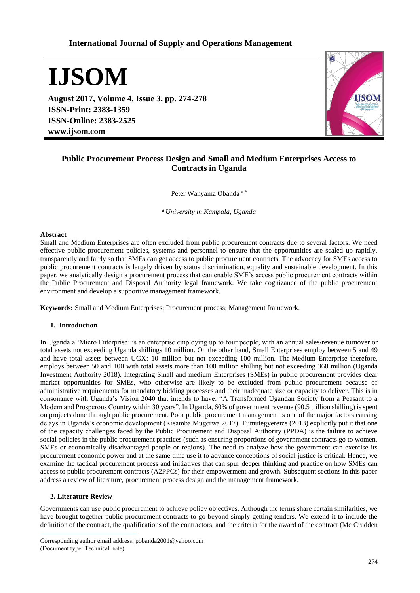# **International Journal of Supply and Operations Management**

**IJSOM**

**August 2017, Volume 4, Issue 3, pp. 274-278 ISSN-Print: 2383-1359 ISSN-Online: 2383-2525 www.ijsom.com**



# **Public Procurement Process Design and Small and Medium Enterprises Access to Contracts in Uganda**

Peter Wanyama Obanda a,\*

*<sup>a</sup>University in Kampala, Uganda*

### **Abstract**

Small and Medium Enterprises are often excluded from public procurement contracts due to several factors. We need effective public procurement policies, systems and personnel to ensure that the opportunities are scaled up rapidly, transparently and fairly so that SMEs can get access to public procurement contracts. The advocacy for SMEs access to public procurement contracts is largely driven by status discrimination, equality and sustainable development. In this paper, we analytically design a procurement process that can enable SME's access public procurement contracts within the Public Procurement and Disposal Authority legal framework. We take cognizance of the public procurement environment and develop a supportive management framework.

**Keywords:** Small and Medium Enterprises; Procurement process; Management framework.

# **1. Introduction**

In Uganda a 'Micro Enterprise' is an enterprise employing up to four people, with an annual sales/revenue turnover or total assets not exceeding Uganda shillings 10 million. On the other hand, Small Enterprises employ between 5 and 49 and have total assets between UGX: 10 million but not exceeding 100 million. The Medium Enterprise therefore, employs between 50 and 100 with total assets more than 100 million shilling but not exceeding 360 million (Uganda Investment Authority 2018). Integrating Small and medium Enterprises (SMEs) in public procurement provides clear market opportunities for SMEs, who otherwise are likely to be excluded from public procurement because of administrative requirements for mandatory bidding processes and their inadequate size or capacity to deliver. This is in consonance with Uganda's Vision 2040 that intends to have: "A Transformed Ugandan Society from a Peasant to a Modern and Prosperous Country within 30 years". In Uganda, 60% of government revenue (90.5 trillion shilling) is spent on projects done through public procurement. Poor public procurement management is one of the major factors causing delays in Uganda's economic development (Kisamba Mugerwa 2017). Tumutegyereize (2013) explicitly put it that one of the capacity challenges faced by the Public Procurement and Disposal Authority (PPDA) is the failure to achieve social policies in the public procurement practices (such as ensuring proportions of government contracts go to women, SMEs or economically disadvantaged people or regions). The need to analyze how the government can exercise its procurement economic power and at the same time use it to advance conceptions of social justice is critical. Hence, we examine the tactical procurement process and initiatives that can spur deeper thinking and practice on how SMEs can access to public procurement contracts (A2PPCs) for their empowerment and growth. Subsequent sections in this paper address a review of literature, procurement process design and the management framework**.**

## **2. Literature Review**

Governments can use public procurement to achieve policy objectives. Although the terms share certain similarities, we have brought together public procurement contracts to go beyond simply getting tenders. We extend it to include the definition of the contract, the qualifications of the contractors, and the criteria for the award of the contract (Mc Crudden

Corresponding author email address: pobanda2001@yahoo.com (Document type: Technical note)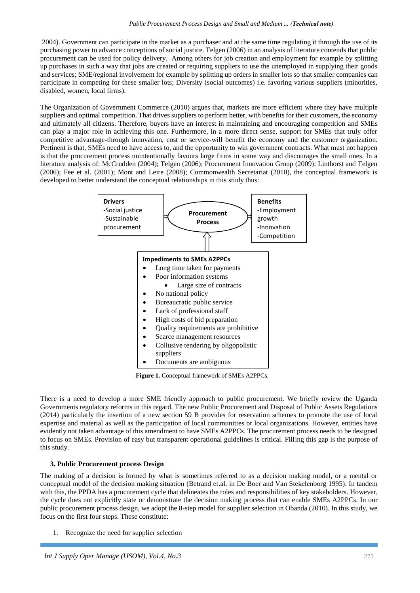2004). Government can participate in the market as a purchaser and at the same time regulating it through the use of its purchasing power to advance conceptions of social justice. Telgen (2006) in an analysis of literature contends that public procurement can be used for policy delivery. Among others for job creation and employment for example by splitting up purchases in such a way that jobs are created or requiring suppliers to use the unemployed in supplying their goods and services; SME/regional involvement for example by splitting up orders in smaller lots so that smaller companies can participate in competing for these smaller lots; Diversity (social outcomes) i.e. favoring various suppliers (minorities, disabled, women, local firms).

The Organization of Government Commerce (2010) argues that, markets are more efficient where they have multiple suppliers and optimal competition. That drives suppliers to perform better, with benefits for their customers, the economy and ultimately all citizens. Therefore, buyers have an interest in maintaining and encouraging competition and SMEs can play a major role in achieving this one. Furthermore, in a more direct sense, support for SMEs that truly offer competitive advantage-through innovation, cost or service-will benefit the economy and the customer organization. Pertinent is that, SMEs need to have access to, and the opportunity to win government contracts. What must not happen is that the procurement process unintentionally favours large firms in some way and discourages the small ones. In a literature analysis of: McCrudden (2004); Telgen (2006); Procurement Innovation Group (2009); Linthorst and Telgen (2006); Fee et al. (2001); Mont and Leire (2008); Commonwealth Secretariat (2010), the conceptual framework is developed to better understand the conceptual relationships in this study thus:



**Figure 1.** Conceptual framework of SMEs A2PPCs.

There is a need to develop a more SME friendly approach to public procurement. We briefly review the Uganda Governments regulatory reforms in this regard. The new Public Procurement and Disposal of Public Assets Regulations (2014) particularly the insertion of a new section 59 B provides for reservation schemes to promote the use of local expertise and material as well as the participation of local communities or local organizations. However, entities have evidently not taken advantage of this amendment to have SMEs A2PPCs. The procurement process needs to be designed to focus on SMEs. Provision of easy but transparent operational guidelines is critical. Filling this gap is the purpose of this study.

# **3. Public Procurement process Design**

The making of a decision is formed by what is sometimes referred to as a decision making model, or a mental or conceptual model of the decision making situation (Betrand et.al. in De Boer and Van Stekelenborg 1995). In tandem with this, the PPDA has a procurement cycle that delineates the roles and responsibilities of key stakeholders. However, the cycle does not explicitly state or demonstrate the decision making process that can enable SMEs A2PPCs. In our public procurement process design, we adopt the 8-step model for supplier selection in Obanda (2010). In this study, we focus on the first four steps. These constitute:

1. Recognize the need for supplier selection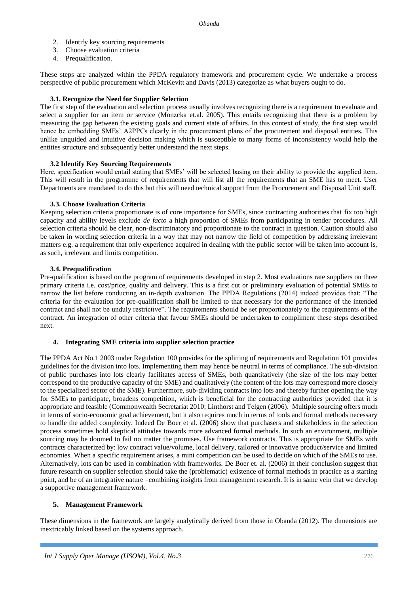- 2. Identify key sourcing requirements
- 3. Choose evaluation criteria
- 4. Prequalification.

These steps are analyzed within the PPDA regulatory framework and procurement cycle. We undertake a process perspective of public procurement which McKevitt and Davis (2013) categorize as what buyers ought to do.

# **3.1. Recognize the Need for Supplier Selection**

The first step of the evaluation and selection process usually involves recognizing there is a requirement to evaluate and select a supplier for an item or service (Monzcka et.al. 2005). This entails recognizing that there is a problem by measuring the gap between the existing goals and current state of affairs. In this context of study, the first step would hence be embedding SMEs' A2PPCs clearly in the procurement plans of the procurement and disposal entities. This unlike unguided and intuitive decision making which is susceptible to many forms of inconsistency would help the entities structure and subsequently better understand the next steps.

### **3.2 Identify Key Sourcing Requirements**

Here, specification would entail stating that SMEs' will be selected basing on their ability to provide the supplied item. This will result in the programme of requirements that will list all the requirements that an SME has to meet. User Departments are mandated to do this but this will need technical support from the Procurement and Disposal Unit staff.

### **3.3. Choose Evaluation Criteria**

Keeping selection criteria proportionate is of core importance for SMEs, since contracting authorities that fix too high capacity and ability levels exclude *de facto* a high proportion of SMEs from participating in tender procedures. All selection criteria should be clear, non-discriminatory and proportionate to the contract in question. Caution should also be taken in wording selection criteria in a way that may not narrow the field of competition by addressing irrelevant matters e.g. a requirement that only experience acquired in dealing with the public sector will be taken into account is, as such, irrelevant and limits competition.

### **3.4. Prequalification**

Pre-qualification is based on the program of requirements developed in step 2. Most evaluations rate suppliers on three primary criteria i.e. cost/price, quality and delivery. This is a first cut or preliminary evaluation of potential SMEs to narrow the list before conducting an in-depth evaluation. The PPDA Regulations (2014) indeed provides that: "The criteria for the evaluation for pre-qualification shall be limited to that necessary for the performance of the intended contract and shall not be unduly restrictive". The requirements should be set proportionately to the requirements of the contract. An integration of other criteria that favour SMEs should be undertaken to compliment these steps described next.

#### **4. Integrating SME criteria into supplier selection practice**

The PPDA Act No.1 2003 under Regulation 100 provides for the splitting of requirements and Regulation 101 provides guidelines for the division into lots. Implementing them may hence be neutral in terms of compliance. The sub-division of public purchases into lots clearly facilitates access of SMEs, both quantitatively (the size of the lots may better correspond to the productive capacity of the SME) and qualitatively (the content of the lots may correspond more closely to the specialized sector of the SME). Furthermore, sub-dividing contracts into lots and thereby further opening the way for SMEs to participate, broadens competition, which is beneficial for the contracting authorities provided that it is appropriate and feasible (Commonwealth Secretariat 2010; Linthorst and Telgen (2006). Multiple sourcing offers much in terms of socio-economic goal achievement, but it also requires much in terms of tools and formal methods necessary to handle the added complexity. Indeed De Boer et al. (2006) show that purchasers and stakeholders in the selection process sometimes hold skeptical attitudes towards more advanced formal methods. In such an environment, multiple sourcing may be doomed to fail no matter the promises. Use framework contracts. This is appropriate for SMEs with contracts characterized by: low contract value/volume, local delivery, tailored or innovative product/service and limited economies. When a specific requirement arises, a mini competition can be used to decide on which of the SMEs to use. Alternatively, lots can be used in combination with frameworks. De Boer et. al. (2006) in their conclusion suggest that future research on supplier selection should take the (problematic) existence of formal methods in practice as a starting point, and be of an integrative nature –combining insights from management research. It is in same vein that we develop a supportive management framework.

#### **5. Management Framework**

These dimensions in the framework are largely analytically derived from those in Obanda (2012). The dimensions are inextricably linked based on the systems approach.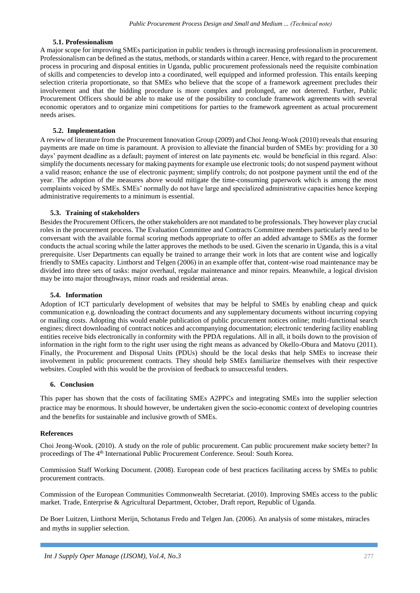## **5.1. Professionalism**

A major scope for improving SMEs participation in public tenders is through increasing professionalism in procurement. Professionalism can be defined as the status, methods, or standards within a career. Hence, with regard to the procurement process in procuring and disposal entities in Uganda, public procurement professionals need the requisite combination of skills and competencies to develop into a coordinated, well equipped and informed profession. This entails keeping selection criteria proportionate, so that SMEs who believe that the scope of a framework agreement precludes their involvement and that the bidding procedure is more complex and prolonged, are not deterred. Further, Public Procurement Officers should be able to make use of the possibility to conclude framework agreements with several economic operators and to organize mini competitions for parties to the framework agreement as actual procurement needs arises.

## **5.2. Implementation**

A review of literature from the Procurement Innovation Group (2009) and Choi Jeong-Wook (2010) reveals that ensuring payments are made on time is paramount. A provision to alleviate the financial burden of SMEs by: providing for a 30 days' payment deadline as a default; payment of interest on late payments etc. would be beneficial in this regard. Also: simplify the documents necessary for making payments for example use electronic tools; do not suspend payment without a valid reason; enhance the use of electronic payment; simplify controls; do not postpone payment until the end of the year. The adoption of the measures above would mitigate the time-consuming paperwork which is among the most complaints voiced by SMEs. SMEs' normally do not have large and specialized administrative capacities hence keeping administrative requirements to a minimum is essential.

### **5.3. Training of stakeholders**

Besides the Procurement Officers, the other stakeholders are not mandated to be professionals. They however play crucial roles in the procurement process. The Evaluation Committee and Contracts Committee members particularly need to be conversant with the available formal scoring methods appropriate to offer an added advantage to SMEs as the former conducts the actual scoring while the latter approves the methods to be used. Given the scenario in Uganda, this is a vital prerequisite. User Departments can equally be trained to arrange their work in lots that are content wise and logically friendly to SMEs capacity. Linthorst and Telgen (2006) in an example offer that, content-wise road maintenance may be divided into three sets of tasks: major overhaul, regular maintenance and minor repairs. Meanwhile, a logical division may be into major throughways, minor roads and residential areas.

### **5.4. Information**

Adoption of ICT particularly development of websites that may be helpful to SMEs by enabling cheap and quick communication e.g. downloading the contract documents and any supplementary documents without incurring copying or mailing costs. Adopting this would enable publication of public procurement notices online; multi-functional search engines; direct downloading of contract notices and accompanying documentation; electronic tendering facility enabling entities receive bids electronically in conformity with the PPDA regulations. All in all, it boils down to the provision of information in the right form to the right user using the right means as advanced by Okello-Obura and Matovu (2011). Finally, the Procurement and Disposal Units (PDUs) should be the local desks that help SMEs to increase their involvement in public procurement contracts. They should help SMEs familiarize themselves with their respective websites. Coupled with this would be the provision of feedback to unsuccessful tenders.

#### **6. Conclusion**

This paper has shown that the costs of facilitating SMEs A2PPCs and integrating SMEs into the supplier selection practice may be enormous. It should however, be undertaken given the socio-economic context of developing countries and the benefits for sustainable and inclusive growth of SMEs.

#### **References**

Choi Jeong-Wook. (2010). A study on the role of public procurement. Can public procurement make society better? In proceedings of The 4th International Public Procurement Conference. Seoul: South Korea.

Commission Staff Working Document. (2008). European code of best practices facilitating access by SMEs to public procurement contracts.

Commission of the European Communities Commonwealth Secretariat. (2010). Improving SMEs access to the public market. Trade, Enterprise & Agricultural Department, October, Draft report, Republic of Uganda.

De Boer Luitzen, Linthorst Merijn, Schotanus Fredo and Telgen Jan. (2006). An analysis of some mistakes, miracles and myths in supplier selection.